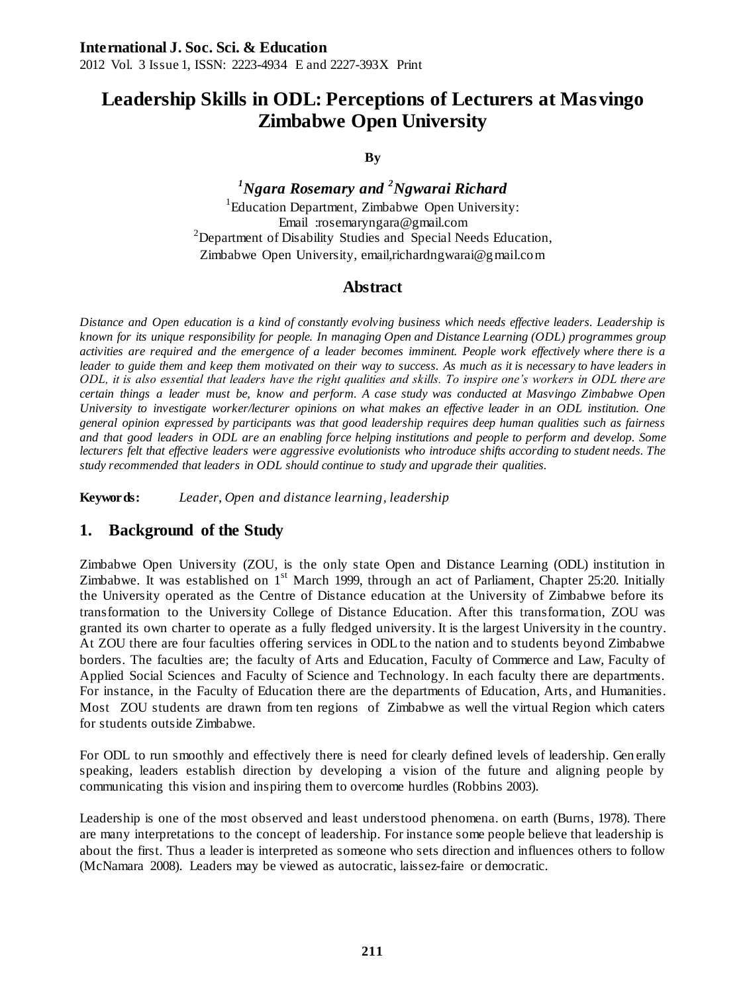# **Leadership Skills in ODL: Perceptions of Lecturers at Masvingo Zimbabwe Open University**

**By**

*<sup>1</sup>Ngara Rosemary and <sup>2</sup>Ngwarai Richard* <sup>1</sup>Education Department, Zimbabwe Open University: Email :rosemaryngara@gmail.com  $2$ Department of Disability Studies and Special Needs Education, Zimbabwe Open University, email,richardngwarai@gmail.com

## **Abstract**

*Distance and Open education is a kind of constantly evolving business which needs effective leaders. Leadership is known for its unique responsibility for people. In managing Open and Distance Learning (ODL) programmes group activities are required and the emergence of a leader becomes imminent. People work effectively where there is a leader to guide them and keep them motivated on their way to success. As much as it is necessary to have leaders in ODL, it is also essential that leaders have the right qualities and skills. To inspire one's workers in ODL there are certain things a leader must be, know and perform. A case study was conducted at Masvingo Zimbabwe Open University to investigate worker/lecturer opinions on what makes an effective leader in an ODL institution. One general opinion expressed by participants was that good leadership requires deep human qualities such as fairness and that good leaders in ODL are an enabling force helping institutions and people to perform and develop. Some lecturers felt that effective leaders were aggressive evolutionists who introduce shifts according to student needs. The study recommended that leaders in ODL should continue to study and upgrade their qualities.*

**Keywords:** *Leader, Open and distance learning, leadership*

## **1. Background of the Study**

Zimbabwe Open University (ZOU, is the only state Open and Distance Learning (ODL) institution in Zimbabwe. It was established on  $1<sup>st</sup>$  March 1999, through an act of Parliament, Chapter 25:20. Initially the University operated as the Centre of Distance education at the University of Zimbabwe before its transformation to the University College of Distance Education. After this transforma tion, ZOU was granted its own charter to operate as a fully fledged university. It is the largest University in t he country. At ZOU there are four faculties offering services in ODL to the nation and to students beyond Zimbabwe borders. The faculties are; the faculty of Arts and Education, Faculty of Commerce and Law, Faculty of Applied Social Sciences and Faculty of Science and Technology. In each faculty there are departments. For instance, in the Faculty of Education there are the departments of Education, Arts, and Humanities. Most ZOU students are drawn from ten regions of Zimbabwe as well the virtual Region which caters for students outside Zimbabwe.

For ODL to run smoothly and effectively there is need for clearly defined levels of leadership. Gen erally speaking, leaders establish direction by developing a vision of the future and aligning people by communicating this vision and inspiring them to overcome hurdles (Robbins 2003).

Leadership is one of the most observed and least understood phenomena. on earth (Burns, 1978). There are many interpretations to the concept of leadership. For instance some people believe that leadership is about the first. Thus a leader is interpreted as someone who sets direction and influences others to follow (McNamara 2008). Leaders may be viewed as autocratic, laissez-faire or democratic.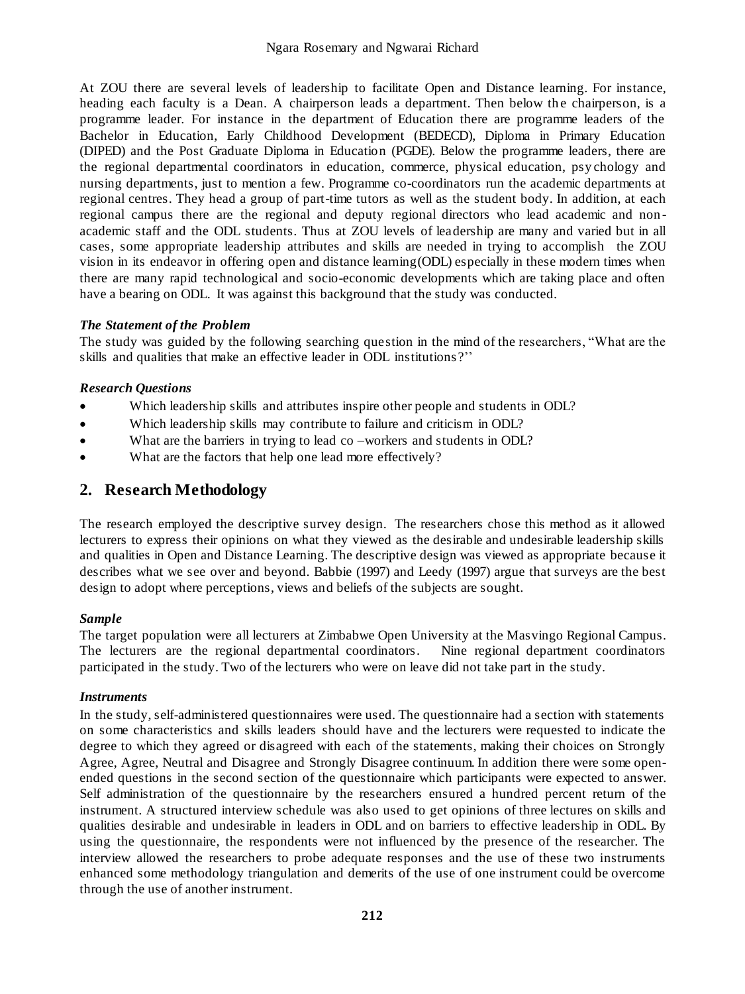At ZOU there are several levels of leadership to facilitate Open and Distance learning. For instance, heading each faculty is a Dean. A chairperson leads a department. Then below the chairperson, is a programme leader. For instance in the department of Education there are programme leaders of the Bachelor in Education, Early Childhood Development (BEDECD), Diploma in Primary Education (DIPED) and the Post Graduate Diploma in Education (PGDE). Below the programme leaders, there are the regional departmental coordinators in education, commerce, physical education, psy chology and nursing departments, just to mention a few. Programme co-coordinators run the academic departments at regional centres. They head a group of part-time tutors as well as the student body. In addition, at each regional campus there are the regional and deputy regional directors who lead academic and non academic staff and the ODL students. Thus at ZOU levels of leadership are many and varied but in all cases, some appropriate leadership attributes and skills are needed in trying to accomplish the ZOU vision in its endeavor in offering open and distance learning(ODL) especially in these modern times when there are many rapid technological and socio-economic developments which are taking place and often have a bearing on ODL. It was against this background that the study was conducted.

## *The Statement of the Problem*

The study was guided by the following searching question in the mind of the researchers, "What are the skills and qualities that make an effective leader in ODL institutions ?''

## *Research Questions*

- Which leadership skills and attributes inspire other people and students in ODL?
- Which leadership skills may contribute to failure and criticism in ODL?
- What are the barriers in trying to lead co –workers and students in ODL?
- What are the factors that help one lead more effectively?

## **2. Research Methodology**

The research employed the descriptive survey design. The researchers chose this method as it allowed lecturers to express their opinions on what they viewed as the desirable and undesirable leadership skills and qualities in Open and Distance Learning. The descriptive design was viewed as appropriate because it describes what we see over and beyond. Babbie (1997) and Leedy (1997) argue that surveys are the best design to adopt where perceptions, views and beliefs of the subjects are sought.

## *Sample*

The target population were all lecturers at Zimbabwe Open University at the Masvingo Regional Campus. The lecturers are the regional departmental coordinators. Nine regional department coordinators participated in the study. Two of the lecturers who were on leave did not take part in the study.

## *Instruments*

In the study, self-administered questionnaires were used. The questionnaire had a section with statements on some characteristics and skills leaders should have and the lecturers were requested to indicate the degree to which they agreed or disagreed with each of the statements, making their choices on Strongly Agree, Agree, Neutral and Disagree and Strongly Disagree continuum. In addition there were some openended questions in the second section of the questionnaire which participants were expected to answer. Self administration of the questionnaire by the researchers ensured a hundred percent return of the instrument. A structured interview schedule was also used to get opinions of three lectures on skills and qualities desirable and undesirable in leaders in ODL and on barriers to effective leadership in ODL. By using the questionnaire, the respondents were not influenced by the presence of the researcher. The interview allowed the researchers to probe adequate responses and the use of these two instruments enhanced some methodology triangulation and demerits of the use of one instrument could be overcome through the use of another instrument.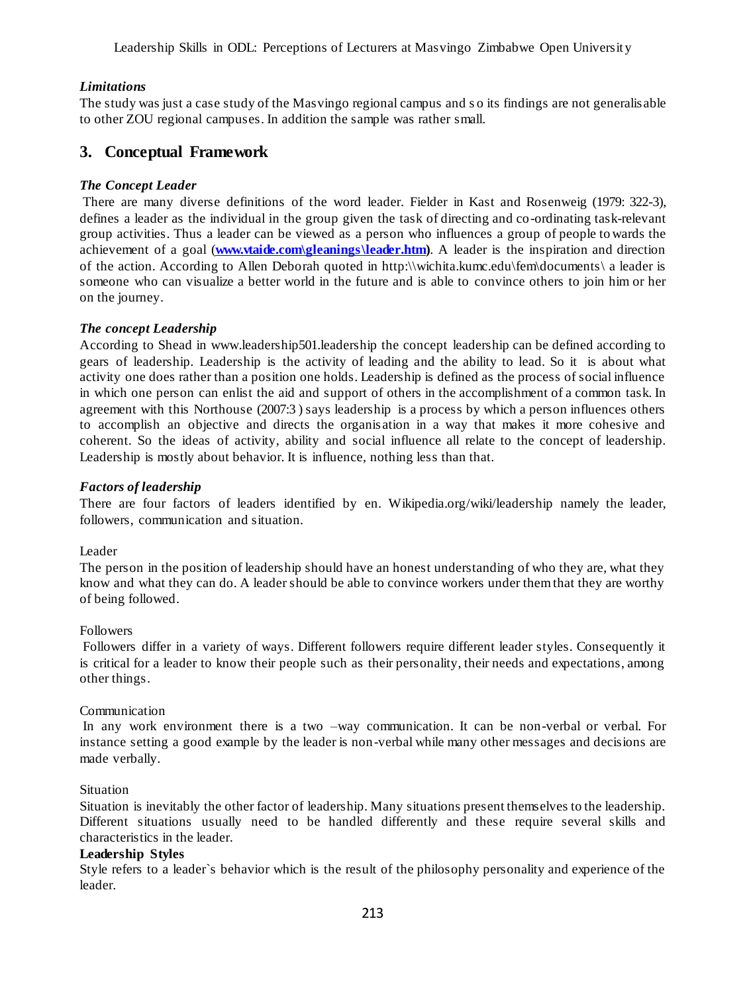Leadership Skills in ODL: Perceptions of Lecturers at Masvingo Zimbabwe Open Universit y

### *Limitations*

The study was just a case study of the Masvingo regional campus and s o its findings are not generalisable to other ZOU regional campuses. In addition the sample was rather small.

## **3. Conceptual Framework**

#### *The Concept Leader*

There are many diverse definitions of the word leader. Fielder in Kast and Rosenweig (1979: 322-3), defines a leader as the individual in the group given the task of directing and co-ordinating task-relevant group activities. Thus a leader can be viewed as a person who influences a group of people to wards the achievement of a goal (**www.vtaide.com\gleanings\leader.htm**). A leader is the inspiration and direction of the action. According to Allen Deborah quoted in http:\\wichita.kumc.edu\fem\documents\ a leader is someone who can visualize a better world in the future and is able to convince others to join him or her on the journey.

#### *The concept Leadership*

According to Shead in www.leadership501.leadership the concept leadership can be defined according to gears of leadership. Leadership is the activity of leading and the ability to lead. So it is about what activity one does rather than a position one holds. Leadership is defined as the process of social influence in which one person can enlist the aid and support of others in the accomplishment of a common task. In agreement with this Northouse (2007:3 ) says leadership is a process by which a person influences others to accomplish an objective and directs the organis ation in a way that makes it more cohesive and coherent. So the ideas of activity, ability and social influence all relate to the concept of leadership. Leadership is mostly about behavior. It is influence, nothing less than that.

#### *Factors of leadership*

There are four factors of leaders identified by en. Wikipedia.org/wiki/leadership namely the leader, followers, communication and situation.

#### Leader

The person in the position of leadership should have an honest understanding of who they are, what they know and what they can do. A leader should be able to convince workers under them that they are worthy of being followed.

#### Followers

Followers differ in a variety of ways. Different followers require different leader styles. Consequently it is critical for a leader to know their people such as their personality, their needs and expectations, among other things.

#### Communication

In any work environment there is a two -way communication. It can be non-verbal or verbal. For instance setting a good example by the leader is non-verbal while many other messages and decisions are made verbally.

#### Situation

Situation is inevitably the other factor of leadership. Many situations present themselves to the leadership. Different situations usually need to be handled differently and these require several skills and characteristics in the leader.

#### **Leadership Styles**

Style refers to a leader`s behavior which is the result of the philosophy personality and experience of the leader.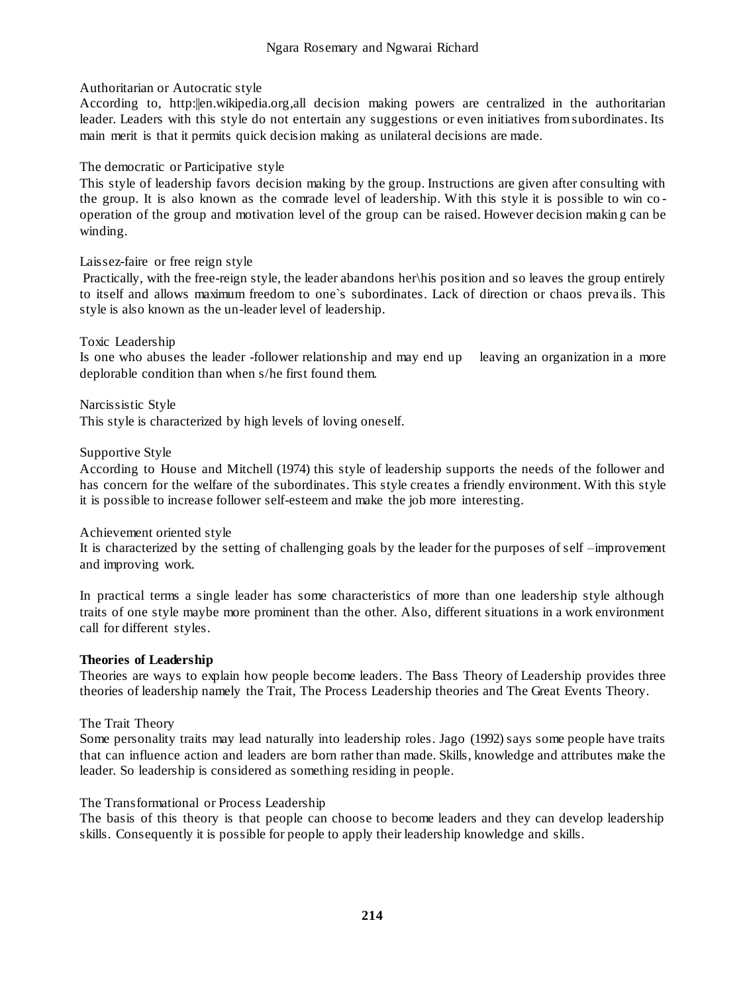#### Authoritarian or Autocratic style

According to, http:||en.wikipedia.org,all decision making powers are centralized in the authoritarian leader. Leaders with this style do not entertain any suggestions or even initiatives from subordinates. Its main merit is that it permits quick decision making as unilateral decisions are made.

### The democratic or Participative style

This style of leadership favors decision making by the group. Instructions are given after consulting with the group. It is also known as the comrade level of leadership. With this style it is possible to win co operation of the group and motivation level of the group can be raised. However decision makin g can be winding.

## Laissez-faire or free reign style

Practically, with the free-reign style, the leader abandons her\his position and so leaves the group entirely to itself and allows maximum freedom to one`s subordinates. Lack of direction or chaos preva ils. This style is also known as the un-leader level of leadership.

#### Toxic Leadership

Is one who abuses the leader -follower relationship and may end up leaving an organization in a more deplorable condition than when s/he first found them.

Narcissistic Style This style is characterized by high levels of loving oneself.

#### Supportive Style

According to House and Mitchell (1974) this style of leadership supports the needs of the follower and has concern for the welfare of the subordinates. This style creates a friendly environment. With this style it is possible to increase follower self-esteem and make the job more interesting.

#### Achievement oriented style

It is characterized by the setting of challenging goals by the leader for the purposes of self –improvement and improving work.

In practical terms a single leader has some characteristics of more than one leadership style although traits of one style maybe more prominent than the other. Also, different situations in a work environment call for different styles.

## **Theories of Leadership**

Theories are ways to explain how people become leaders. The Bass Theory of Leadership provides three theories of leadership namely the Trait, The Process Leadership theories and The Great Events Theory.

## The Trait Theory

Some personality traits may lead naturally into leadership roles. Jago (1992) says some people have traits that can influence action and leaders are born rather than made. Skills, knowledge and attributes make the leader. So leadership is considered as something residing in people.

## The Transformational or Process Leadership

The basis of this theory is that people can choose to become leaders and they can develop leadership skills. Consequently it is possible for people to apply their leadership knowledge and skills.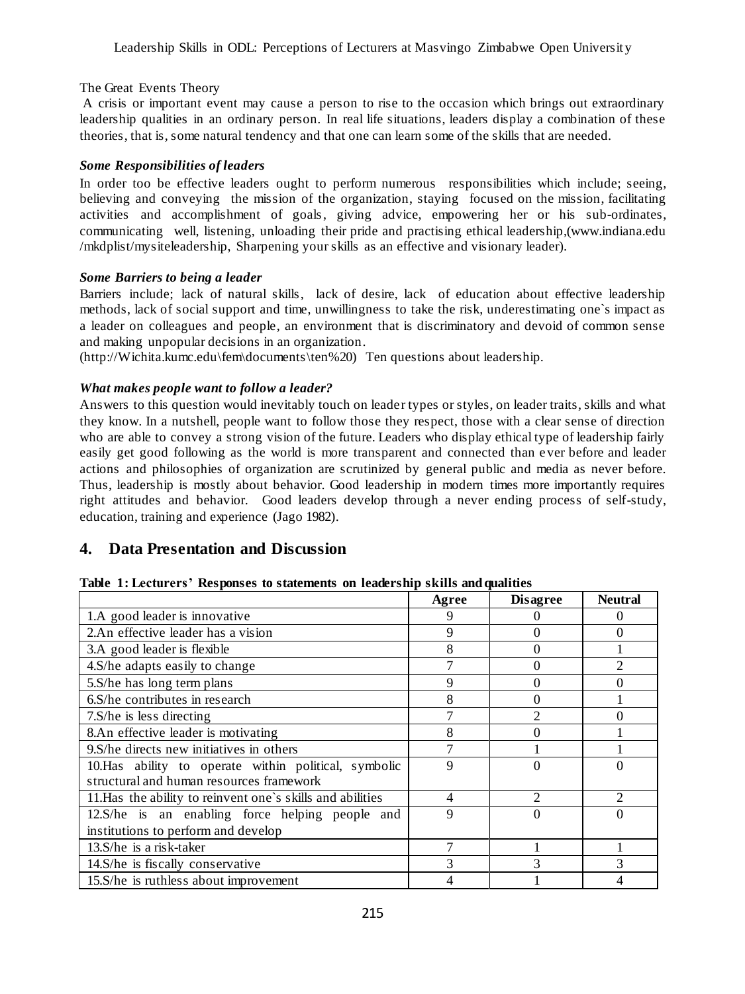#### The Great Events Theory

A crisis or important event may cause a person to rise to the occasion which brings out extraordinary leadership qualities in an ordinary person. In real life situations, leaders display a combination of these theories, that is, some natural tendency and that one can learn some of the skills that are needed.

#### *Some Responsibilities of leaders*

In order too be effective leaders ought to perform numerous responsibilities which include; seeing, believing and conveying the mission of the organization, staying focused on the mission, facilitating activities and accomplishment of goals, giving advice, empowering her or his sub-ordinates, communicating well, listening, unloading their pride and practising ethical leadership,(www.indiana.edu /mkdplist/mysiteleadership, Sharpening your skills as an effective and visionary leader).

#### *Some Barriers to being a leader*

Barriers include; lack of natural skills, lack of desire, lack of education about effective leadership methods, lack of social support and time, unwillingness to take the risk, underestimating one`s impact as a leader on colleagues and people, an environment that is discriminatory and devoid of common sense and making unpopular decisions in an organization.

(http://Wichita.kumc.edu\fem\documents\ten%20) Ten questions about leadership.

## *What makes people want to follow a leader?*

Answers to this question would inevitably touch on leader types or styles, on leader traits, skills and what they know. In a nutshell, people want to follow those they respect, those with a clear sense of direction who are able to convey a strong vision of the future. Leaders who display ethical type of leadership fairly easily get good following as the world is more transparent and connected than ever before and leader actions and philosophies of organization are scrutinized by general public and media as never before. Thus, leadership is mostly about behavior. Good leadership in modern times more importantly requires right attitudes and behavior. Good leaders develop through a never ending process of self-study, education, training and experience (Jago 1982).

## **4. Data Presentation and Discussion**

|  |  |  | Table 1: Lecturers' Responses to statements on leadership skills and qualities |  |  |  |  |
|--|--|--|--------------------------------------------------------------------------------|--|--|--|--|
|--|--|--|--------------------------------------------------------------------------------|--|--|--|--|

|                                                            | Agree | <b>Disagree</b>             | <b>Neutral</b>              |
|------------------------------------------------------------|-------|-----------------------------|-----------------------------|
| 1.A good leader is innovative                              |       |                             |                             |
| 2.An effective leader has a vision                         | 9     |                             |                             |
| 3.A good leader is flexible                                | 8     |                             |                             |
| 4.S/he adapts easily to change                             |       |                             |                             |
| 5.S/he has long term plans                                 | Q     |                             |                             |
| 6.S/he contributes in research                             | 8     |                             |                             |
| 7. S/he is less directing                                  |       |                             |                             |
| 8.An effective leader is motivating                        |       |                             |                             |
| 9. S/he directs new initiatives in others                  |       |                             |                             |
| 10. Has ability to operate within political, symbolic      | 9     |                             |                             |
| structural and human resources framework                   |       |                             |                             |
| 11. Has the ability to reinvent one's skills and abilities | 4     | $\mathcal{D}_{\mathcal{A}}$ | $\mathcal{D}_{\mathcal{L}}$ |
| 12.S/he is an enabling force helping people and            | 9     |                             | $\Omega$                    |
| institutions to perform and develop                        |       |                             |                             |
| 13.S/he is a risk-taker                                    |       |                             |                             |
| 14. S/he is fiscally conservative                          | 3     |                             |                             |
| 15. S/he is ruthless about improvement                     |       |                             |                             |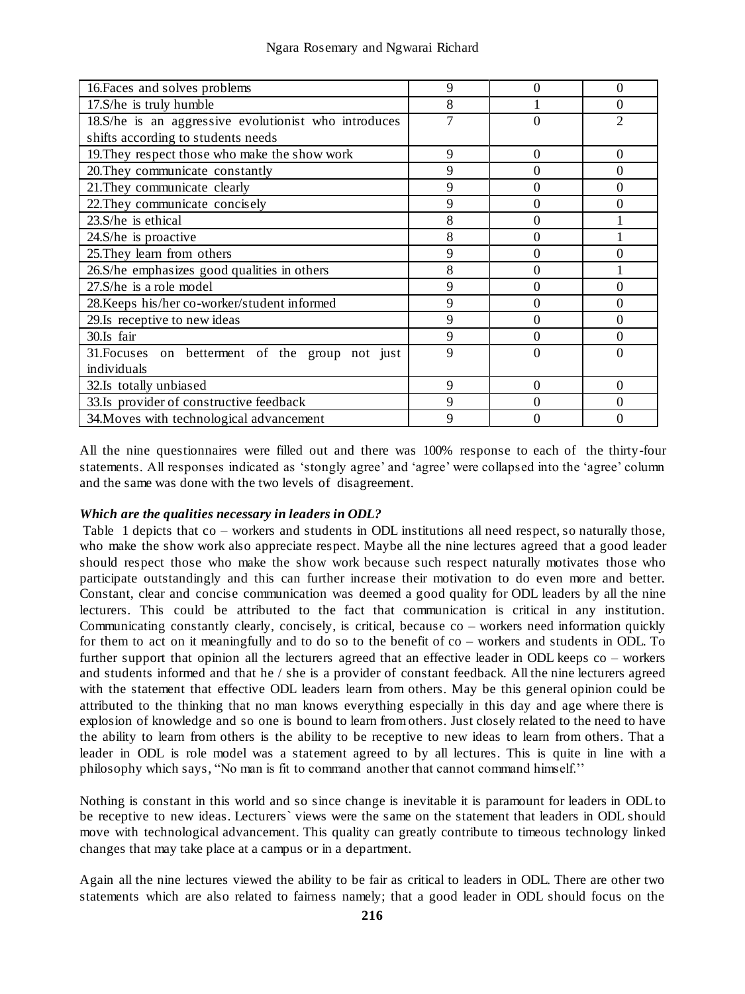| 16. Faces and solves problems                        | 9 | 0 | $\Omega$ |
|------------------------------------------------------|---|---|----------|
| 17.S/he is truly humble                              | 8 |   | $\Omega$ |
| 18.S/he is an aggressive evolutionist who introduces |   |   |          |
| shifts according to students needs                   |   |   |          |
| 19. They respect those who make the show work        | 9 | 0 | $\Omega$ |
| 20. They communicate constantly                      | 9 | 0 | $\Omega$ |
| 21. They communicate clearly                         | 9 | 0 | $\Omega$ |
| 22. They communicate concisely                       | 9 |   |          |
| $23. S/he$ is ethical                                | 8 |   |          |
| 24.S/he is proactive                                 | 8 | 0 |          |
| 25. They learn from others                           | 9 |   |          |
| 26.S/he emphasizes good qualities in others          | 8 |   |          |
| 27.S/he is a role model                              | 9 |   |          |
| 28. Keeps his/her co-worker/student informed         | 9 |   | 0        |
| 29. Is receptive to new ideas                        | 9 |   | $\Omega$ |
| 30.Is fair                                           | Q |   |          |
| 31. Focuses on betterment of the group not just      | 9 |   |          |
| individuals                                          |   |   |          |
| 32.Is totally unbiased                               | 9 | 0 | $\Omega$ |
| 33.Is provider of constructive feedback              | Q |   |          |
| 34. Moves with technological advancement             | Q |   |          |

All the nine questionnaires were filled out and there was 100% response to each of the thirty-four statements. All responses indicated as 'stongly agree' and 'agree' were collapsed into the 'agree' column and the same was done with the two levels of disagreement.

## *Which are the qualities necessary in leaders in ODL?*

Table 1 depicts that co – workers and students in ODL institutions all need respect, so naturally those, who make the show work also appreciate respect. Maybe all the nine lectures agreed that a good leader should respect those who make the show work because such respect naturally motivates those who participate outstandingly and this can further increase their motivation to do even more and better. Constant, clear and concise communication was deemed a good quality for ODL leaders by all the nine lecturers. This could be attributed to the fact that communication is critical in any institution. Communicating constantly clearly, concisely, is critical, because co – workers need information quickly for them to act on it meaningfully and to do so to the benefit of co – workers and students in ODL. To further support that opinion all the lecturers agreed that an effective leader in ODL keeps co – workers and students informed and that he / she is a provider of constant feedback. All the nine lecturers agreed with the statement that effective ODL leaders learn from others. May be this general opinion could be attributed to the thinking that no man knows everything especially in this day and age where there is explosion of knowledge and so one is bound to learn from others. Just closely related to the need to have the ability to learn from others is the ability to be receptive to new ideas to learn from others. That a leader in ODL is role model was a statement agreed to by all lectures. This is quite in line with a philosophy which says, "No man is fit to command another that cannot command himself.''

Nothing is constant in this world and so since change is inevitable it is paramount for leaders in ODL to be receptive to new ideas. Lecturers` views were the same on the statement that leaders in ODL should move with technological advancement. This quality can greatly contribute to timeous technology linked changes that may take place at a campus or in a department.

Again all the nine lectures viewed the ability to be fair as critical to leaders in ODL. There are other two statements which are also related to fairness namely; that a good leader in ODL should focus on the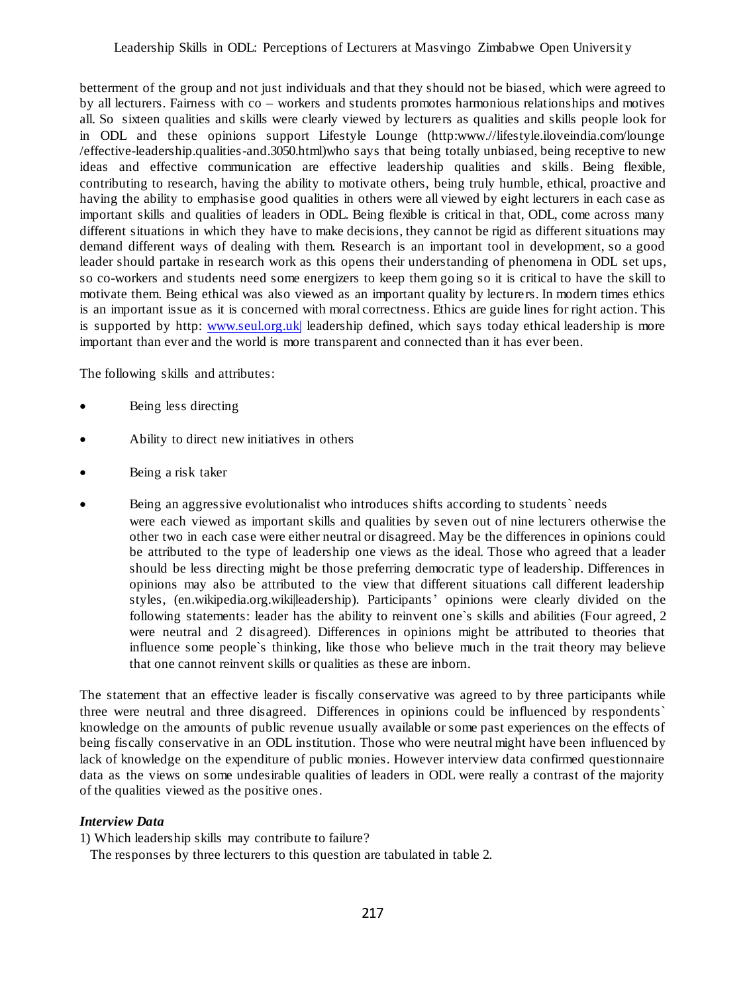betterment of the group and not just individuals and that they should not be biased, which were agreed to by all lecturers. Fairness with co – workers and students promotes harmonious relationships and motives all. So sixteen qualities and skills were clearly viewed by lecturers as qualities and skills people look for in ODL and these opinions support Lifestyle Lounge (http:www.//lifestyle.iloveindia.com/lounge /effective-leadership.qualities-and.3050.html)who says that being totally unbiased, being receptive to new ideas and effective communication are effective leadership qualities and skills. Being flexible, contributing to research, having the ability to motivate others, being truly humble, ethical, proactive and having the ability to emphasise good qualities in others were all viewed by eight lecturers in each case as important skills and qualities of leaders in ODL. Being flexible is critical in that, ODL, come across many different situations in which they have to make decisions, they cannot be rigid as different situations may demand different ways of dealing with them. Research is an important tool in development, so a good leader should partake in research work as this opens their understanding of phenomena in ODL set ups, so co-workers and students need some energizers to keep them going so it is critical to have the skill to motivate them. Being ethical was also viewed as an important quality by lecturers. In modern times ethics is an important issue as it is concerned with moral correctness. Ethics are guide lines for right action. This is supported by http[: www.seul.org.uk|](http://www.seul.org.uk|/) leadership defined, which says today ethical leadership is more important than ever and the world is more transparent and connected than it has ever been.

The following skills and attributes:

- Being less directing
- Ability to direct new initiatives in others
- Being a risk taker
- Being an aggressive evolutionalist who introduces shifts according to students` needs were each viewed as important skills and qualities by seven out of nine lecturers otherwise the other two in each case were either neutral or disagreed. May be the differences in opinions could be attributed to the type of leadership one views as the ideal. Those who agreed that a leader should be less directing might be those preferring democratic type of leadership. Differences in opinions may also be attributed to the view that different situations call different leadership styles, (en.wikipedia.org.wiki|leadership). Participants' opinions were clearly divided on the following statements: leader has the ability to reinvent one`s skills and abilities (Four agreed, 2 were neutral and 2 disagreed). Differences in opinions might be attributed to theories that influence some people`s thinking, like those who believe much in the trait theory may believe that one cannot reinvent skills or qualities as these are inborn.

The statement that an effective leader is fiscally conservative was agreed to by three participants while three were neutral and three disagreed. Differences in opinions could be influenced by respondents` knowledge on the amounts of public revenue usually available or some past experiences on the effects of being fiscally conservative in an ODL institution. Those who were neutral might have been influenced by lack of knowledge on the expenditure of public monies. However interview data confirmed questionnaire data as the views on some undesirable qualities of leaders in ODL were really a contrast of the majority of the qualities viewed as the positive ones.

## *Interview Data*

1) Which leadership skills may contribute to failure?

The responses by three lecturers to this question are tabulated in table 2.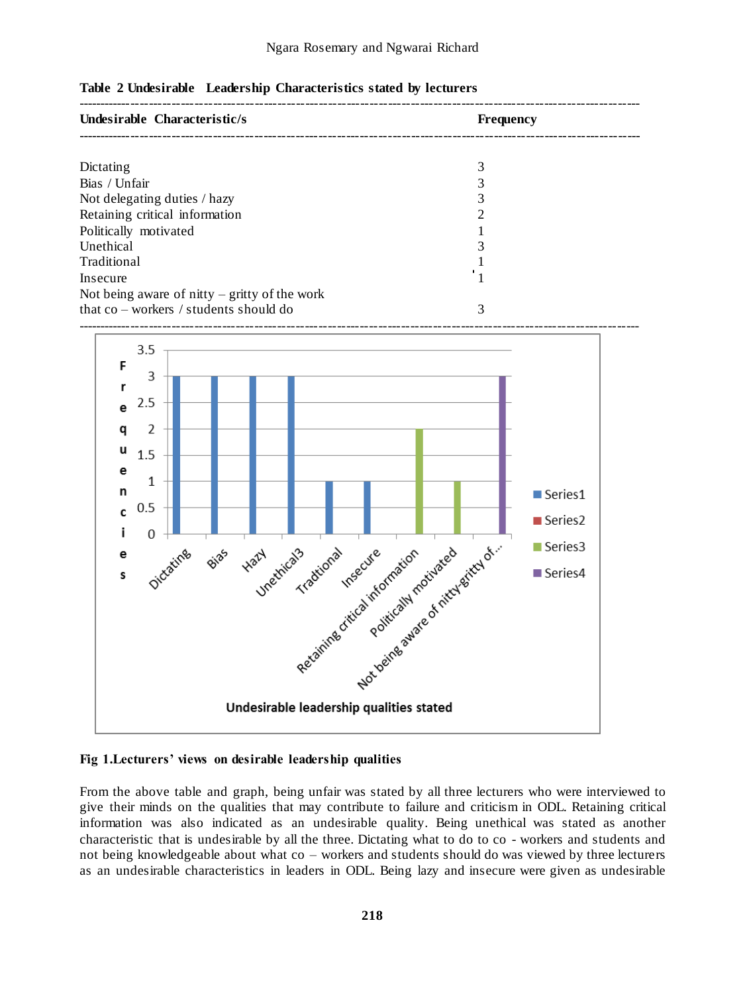| Undesirable Characteristic/s                    | <b>Frequency</b> |  |
|-------------------------------------------------|------------------|--|
|                                                 |                  |  |
| Dictating                                       |                  |  |
| Bias / Unfair                                   |                  |  |
| Not delegating duties / hazy                    |                  |  |
| Retaining critical information                  |                  |  |
| Politically motivated                           |                  |  |
| Unethical                                       |                  |  |
| Traditional                                     |                  |  |
| Insecure                                        |                  |  |
| Not being aware of nitty $-$ gritty of the work |                  |  |
| that $co$ – workers / students should do        | 3                |  |





#### **Fig 1.Lecturers' views on desirable leadership qualities**

From the above table and graph, being unfair was stated by all three lecturers who were interviewed to give their minds on the qualities that may contribute to failure and criticism in ODL. Retaining critical information was also indicated as an undesirable quality. Being unethical was stated as another characteristic that is undesirable by all the three. Dictating what to do to co - workers and students and not being knowledgeable about what co – workers and students should do was viewed by three lecturers as an undesirable characteristics in leaders in ODL. Being lazy and insecure were given as undesirable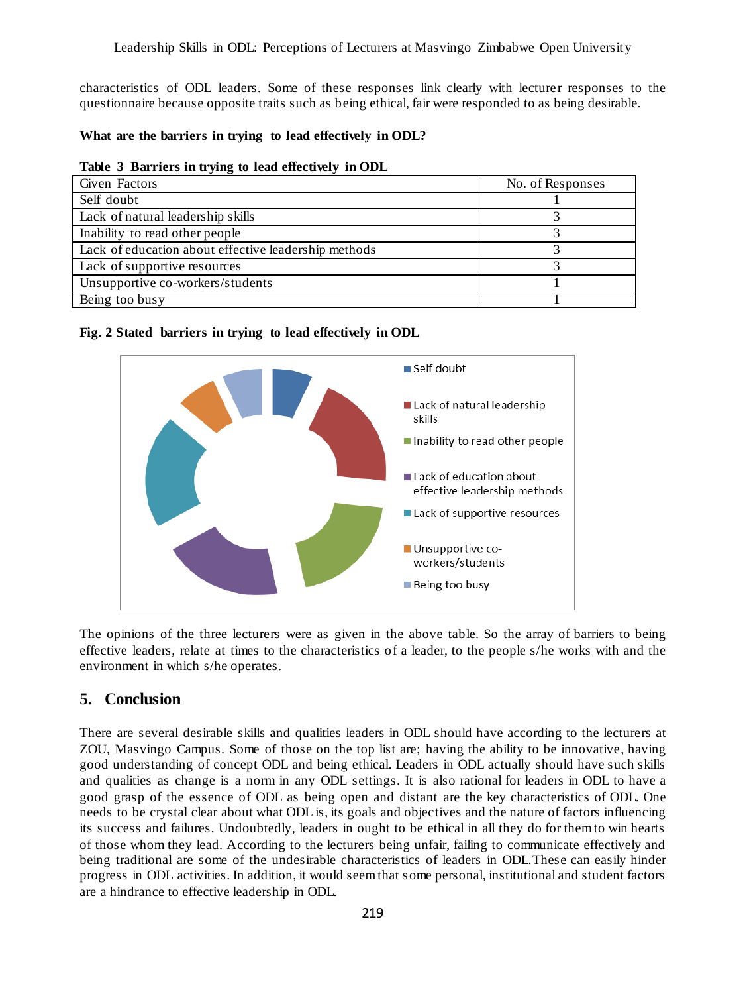characteristics of ODL leaders. Some of these responses link clearly with lecturer responses to the questionnaire because opposite traits such as being ethical, fair were responded to as being desirable.

### **What are the barriers in trying to lead effectively in ODL?**

#### **Table 3 Barriers in trying to lead effectively in ODL**

| Given Factors                                        | No. of Responses |
|------------------------------------------------------|------------------|
| Self doubt                                           |                  |
| Lack of natural leadership skills                    |                  |
| Inability to read other people                       |                  |
| Lack of education about effective leadership methods |                  |
| Lack of supportive resources                         |                  |
| Unsupportive co-workers/students                     |                  |
| Being too busy                                       |                  |

#### **Fig. 2 Stated barriers in trying to lead effectively in ODL**



The opinions of the three lecturers were as given in the above table. So the array of barriers to being effective leaders, relate at times to the characteristics of a leader, to the people s/he works with and the environment in which s/he operates.

## **5. Conclusion**

There are several desirable skills and qualities leaders in ODL should have according to the lecturers at ZOU, Masvingo Campus. Some of those on the top list are; having the ability to be innovative, having good understanding of concept ODL and being ethical. Leaders in ODL actually should have such skills and qualities as change is a norm in any ODL settings. It is also rational for leaders in ODL to have a good grasp of the essence of ODL as being open and distant are the key characteristics of ODL. One needs to be crystal clear about what ODL is, its goals and objectives and the nature of factors influencing its success and failures. Undoubtedly, leaders in ought to be ethical in all they do for them to win hearts of those whom they lead. According to the lecturers being unfair, failing to communicate effectively and being traditional are some of the undesirable characteristics of leaders in ODL.These can easily hinder progress in ODL activities. In addition, it would seem that some personal, institutional and student factors are a hindrance to effective leadership in ODL.